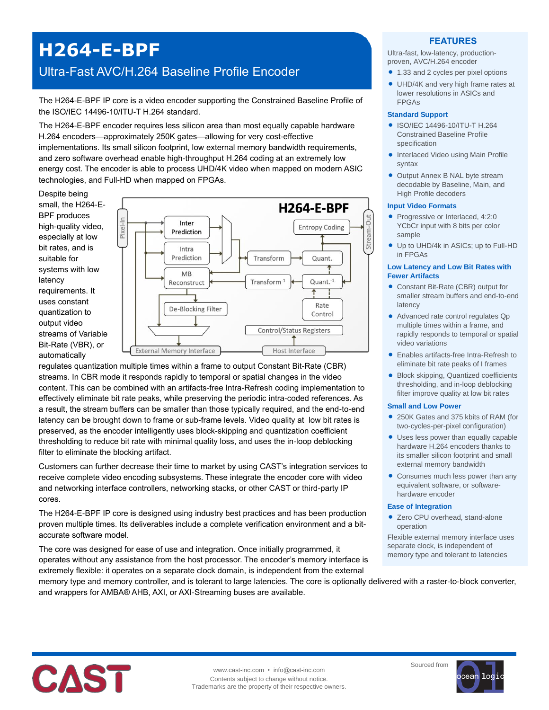## **H264-E-BPF**

### Ultra-Fast AVC/H.264 Baseline Profile Encoder

The H264-E-BPF IP core is a video encoder supporting the Constrained Baseline Profile of the ISO/IEC 14496-10/ITU-T H.264 standard.

The H264-E-BPF encoder requires less silicon area than most equally capable hardware H.264 encoders—approximately 250K gates—allowing for very cost-effective implementations. Its small silicon footprint, low external memory bandwidth requirements, and zero software overhead enable high-throughput H.264 coding at an extremely low energy cost. The encoder is able to process UHD/4K video when mapped on modern ASIC technologies, and Full-HD when mapped on FPGAs.

Despite being small, the H264-E-BPF produces high-quality video, especially at low bit rates, and is suitable for systems with low latency requirements. It uses constant quantization to output video streams of Variable Bit-Rate (VBR), or automatically



regulates quantization multiple times within a frame to output Constant Bit-Rate (CBR) streams. In CBR mode it responds rapidly to temporal or spatial changes in the video content. This can be combined with an artifacts-free Intra-Refresh coding implementation to effectively eliminate bit rate peaks, while preserving the periodic intra-coded references. As a result, the stream buffers can be smaller than those typically required, and the end-to-end latency can be brought down to frame or sub-frame levels. Video quality at low bit rates is preserved, as the encoder intelligently uses block-skipping and quantization coefficient thresholding to reduce bit rate with minimal quality loss, and uses the in-loop deblocking filter to eliminate the blocking artifact.

Customers can further decrease their time to market by using CAST's integration services to receive complete video encoding subsystems. These integrate the encoder core with video and networking interface controllers, networking stacks, or other CAST or third-party IP cores.

The H264-E-BPF IP core is designed using industry best practices and has been production proven multiple times. Its deliverables include a complete verification environment and a bitaccurate software model.

The core was designed for ease of use and integration. Once initially programmed, it operates without any assistance from the host processor. The encoder's memory interface is extremely flexible: it operates on a separate clock domain, is independent from the external

#### memory type and memory controller, and is tolerant to large latencies. The core is optionally delivered with a raster-to-block converter, and wrappers for AMBA® AHB, AXI, or AXI-Streaming buses are available.

# CAST

#### **FEATURES**

Ultra-fast, low-latency, productionproven, AVC/H.264 encoder

- 1.33 and 2 cycles per pixel options
- UHD/4K and very high frame rates at lower resolutions in ASICs and FPGAs

#### **Standard Support**

- ISO/IEC 14496-10/ITU-T H.264 Constrained Baseline Profile specification
- **Interlaced Video using Main Profile** syntax
- Output Annex B NAL byte stream decodable by Baseline, Main, and High Profile decoders

#### **Input Video Formats**

- Progressive or Interlaced, 4:2:0 YCbCr input with 8 bits per color sample
- Up to UHD/4k in ASICs; up to Full-HD in FPGAs

#### **Low Latency and Low Bit Rates with Fewer Artifacts**

- Constant Bit-Rate (CBR) output for smaller stream buffers and end-to-end latency
- Advanced rate control regulates Qp multiple times within a frame, and rapidly responds to temporal or spatial video variations
- Enables artifacts-free Intra-Refresh to eliminate bit rate peaks of I frames
- Block skipping, Quantized coefficients thresholding, and in-loop deblocking filter improve quality at low bit rates

#### **Small and Low Power**

- 250K Gates and 375 kbits of RAM (for two-cycles-per-pixel configuration)
- Uses less power than equally capable hardware H.264 encoders thanks to its smaller silicon footprint and small external memory bandwidth
- Consumes much less power than any equivalent software, or softwarehardware encoder

#### **Ease of Integration**

Sourced from

● Zero CPU overhead, stand-alone operation

Flexible external memory interface uses separate clock, is independent of memory type and tolerant to latencies